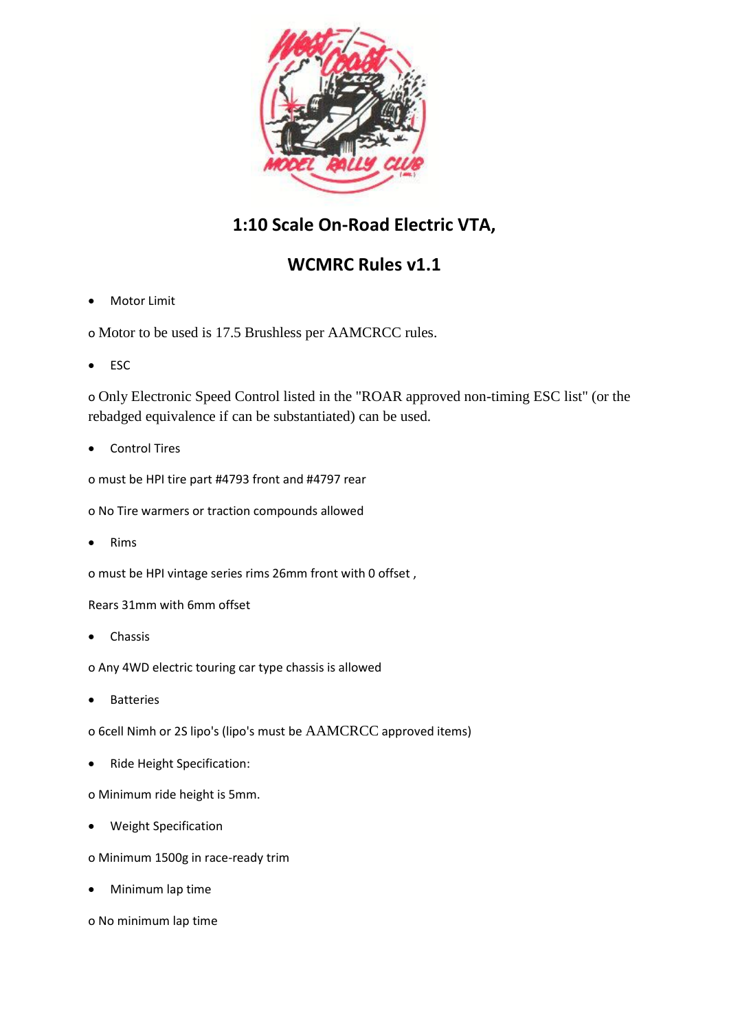

## **1:10 Scale On-Road Electric VTA,**

## **WCMRC Rules v1.1**

- Motor Limit
- o Motor to be used is 17.5 Brushless per AAMCRCC rules.
- ESC

o Only Electronic Speed Control listed in the "ROAR approved non-timing ESC list" (or the rebadged equivalence if can be substantiated) can be used.

Control Tires

o must be HPI tire part #4793 front and #4797 rear

o No Tire warmers or traction compounds allowed

Rims

o must be HPI vintage series rims 26mm front with 0 offset ,

Rears 31mm with 6mm offset

Chassis

o Any 4WD electric touring car type chassis is allowed

Batteries

o 6cell Nimh or 2S lipo's (lipo's must be AAMCRCC approved items)

Ride Height Specification:

o Minimum ride height is 5mm.

- Weight Specification
- o Minimum 1500g in race-ready trim
- Minimum lap time
- o No minimum lap time